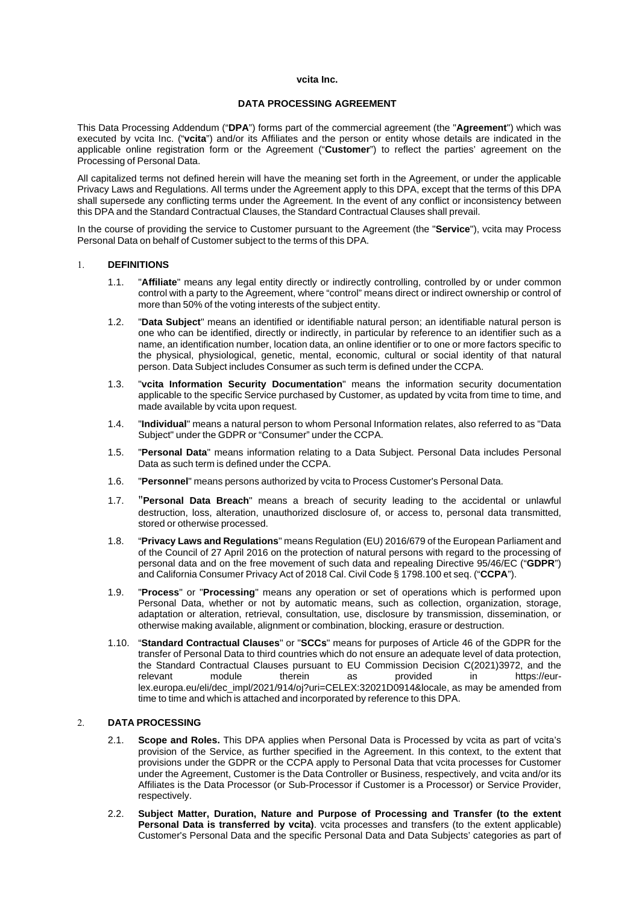### **vcita Inc.**

## **DATA PROCESSING AGREEMENT**

This Data Processing Addendum ("**DPA**") forms part of the commercial agreement (the "**Agreement**") which was executed by vcita Inc. ("**vcita**") and/or its Affiliates and the person or entity whose details are indicated in the applicable online registration form or the Agreement ("**Customer**") to reflect the parties' agreement on the Processing of Personal Data.

All capitalized terms not defined herein will have the meaning set forth in the Agreement, or under the applicable Privacy Laws and Regulations. All terms under the Agreement apply to this DPA, except that the terms of this DPA shall supersede any conflicting terms under the Agreement. In the event of any conflict or inconsistency between this DPA and the Standard Contractual Clauses, the Standard Contractual Clauses shall prevail.

In the course of providing the service to Customer pursuant to the Agreement (the "**Service**"), vcita may Process Personal Data on behalf of Customer subject to the terms of this DPA.

#### 1. **DEFINITIONS**

- 1.1. "**Affiliate**" means any legal entity directly or indirectly controlling, controlled by or under common control with a party to the Agreement, where "control" means direct or indirect ownership or control of more than 50% of the voting interests of the subject entity.
- 1.2. "**Data Subject**" means an identified or identifiable natural person; an identifiable natural person is one who can be identified, directly or indirectly, in particular by reference to an identifier such as a name, an identification number, location data, an online identifier or to one or more factors specific to the physical, physiological, genetic, mental, economic, cultural or social identity of that natural person. Data Subject includes Consumer as such term is defined under the CCPA.
- 1.3. "**vcita Information Security Documentation**" means the information security documentation applicable to the specific Service purchased by Customer, as updated by vcita from time to time, and made available by vcita upon request.
- 1.4. "**Individual**" means a natural person to whom Personal Information relates, also referred to as "Data Subject" under the GDPR or "Consumer" under the CCPA.
- 1.5. "**Personal Data**" means information relating to a Data Subject. Personal Data includes Personal Data as such term is defined under the CCPA.
- 1.6. "**Personnel**" means persons authorized by vcita to Process Customer's Personal Data.
- 1.7. "**Personal Data Breach**" means a breach of security leading to the accidental or unlawful destruction, loss, alteration, unauthorized disclosure of, or access to, personal data transmitted, stored or otherwise processed.
- 1.8. "**Privacy Laws and Regulations**" means Regulation (EU) 2016/679 of the European Parliament and of the Council of 27 April 2016 on the protection of natural persons with regard to the processing of personal data and on the free movement of such data and repealing Directive 95/46/EC ("**GDPR**") and California Consumer Privacy Act of 2018 Cal. Civil Code § 1798.100 et seq. ("**CCPA**").
- 1.9. "**Process**" or "**Processing**" means any operation or set of operations which is performed upon Personal Data, whether or not by automatic means, such as collection, organization, storage, adaptation or alteration, retrieval, consultation, use, disclosure by transmission, dissemination, or otherwise making available, alignment or combination, blocking, erasure or destruction.
- 1.10. "**Standard Contractual Clauses**" or "**SCCs**" means for purposes of Article 46 of the GDPR for the transfer of Personal Data to third countries which do not ensure an adequate level of data protection, the Standard Contractual Clauses pursuant to EU Commission Decision C(2021)3972, and the relevant module therein as provided in https://eurrelevant module therein as provided in [https://eur](https://eur-lex.europa.eu/eli/dec_impl/2021/914/oj?uri=CELEX:32021D0914&locale)[lex.europa.eu/eli/dec\\_impl/2021/914/oj?uri=CELEX:32021D0914&locale,](https://eur-lex.europa.eu/eli/dec_impl/2021/914/oj?uri=CELEX:32021D0914&locale) as may be amended from time to time and which is attached and incorporated by reference to this DPA.

# 2. **DATA PROCESSING**

- 2.1. **Scope and Roles.** This DPA applies when Personal Data is Processed by vcita as part of vcita's provision of the Service, as further specified in the Agreement. In this context, to the extent that provisions under the GDPR or the CCPA apply to Personal Data that vcita processes for Customer under the Agreement, Customer is the Data Controller or Business, respectively, and vcita and/or its Affiliates is the Data Processor (or Sub-Processor if Customer is a Processor) or Service Provider, respectively.
- 2.2. **Subject Matter, Duration, Nature and Purpose of Processing and Transfer (to the extent Personal Data is transferred by vcita)**. vcita processes and transfers (to the extent applicable) Customer's Personal Data and the specific Personal Data and Data Subjects' categories as part of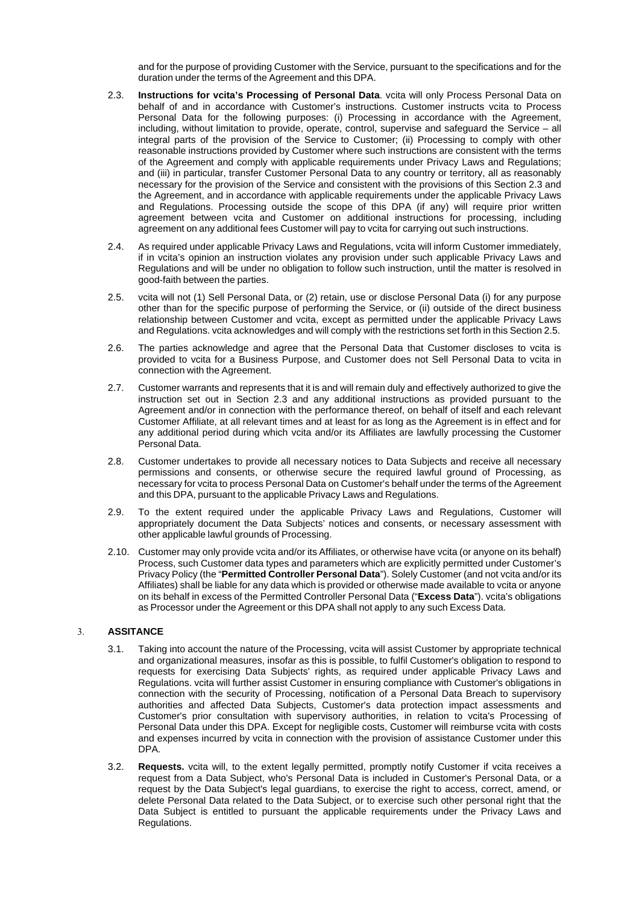and for the purpose of providing Customer with the Service, pursuant to the specifications and for the duration under the terms of the Agreement and this DPA.

- 2.3. **Instructions for vcita's Processing of Personal Data**. vcita will only Process Personal Data on behalf of and in accordance with Customer's instructions. Customer instructs vcita to Process Personal Data for the following purposes: (i) Processing in accordance with the Agreement, including, without limitation to provide, operate, control, supervise and safeguard the Service – all integral parts of the provision of the Service to Customer; (ii) Processing to comply with other reasonable instructions provided by Customer where such instructions are consistent with the terms of the Agreement and comply with applicable requirements under Privacy Laws and Regulations; and (iii) in particular, transfer Customer Personal Data to any country or territory, all as reasonably necessary for the provision of the Service and consistent with the provisions of this Section 2.3 and the Agreement, and in accordance with applicable requirements under the applicable Privacy Laws and Regulations. Processing outside the scope of this DPA (if any) will require prior written agreement between vcita and Customer on additional instructions for processing, including agreement on any additional fees Customer will pay to vcita for carrying out such instructions.
- 2.4. As required under applicable Privacy Laws and Regulations, vcita will inform Customer immediately, if in vcita's opinion an instruction violates any provision under such applicable Privacy Laws and Regulations and will be under no obligation to follow such instruction, until the matter is resolved in good-faith between the parties.
- 2.5. vcita will not (1) Sell Personal Data, or (2) retain, use or disclose Personal Data (i) for any purpose other than for the specific purpose of performing the Service, or (ii) outside of the direct business relationship between Customer and vcita, except as permitted under the applicable Privacy Laws and Regulations. vcita acknowledges and will comply with the restrictions set forth in this Section 2.5.
- 2.6. The parties acknowledge and agree that the Personal Data that Customer discloses to vcita is provided to vcita for a Business Purpose, and Customer does not Sell Personal Data to vcita in connection with the Agreement.
- 2.7. Customer warrants and represents that it is and will remain duly and effectively authorized to give the instruction set out in Section 2.3 and any additional instructions as provided pursuant to the Agreement and/or in connection with the performance thereof, on behalf of itself and each relevant Customer Affiliate, at all relevant times and at least for as long as the Agreement is in effect and for any additional period during which vcita and/or its Affiliates are lawfully processing the Customer Personal Data.
- 2.8. Customer undertakes to provide all necessary notices to Data Subjects and receive all necessary permissions and consents, or otherwise secure the required lawful ground of Processing, as necessary for vcita to process Personal Data on Customer's behalf under the terms of the Agreement and this DPA, pursuant to the applicable Privacy Laws and Regulations.
- 2.9. To the extent required under the applicable Privacy Laws and Regulations, Customer will appropriately document the Data Subjects' notices and consents, or necessary assessment with other applicable lawful grounds of Processing.
- 2.10. Customer may only provide vcita and/or its Affiliates, or otherwise have vcita (or anyone on its behalf) Process, such Customer data types and parameters which are explicitly permitted under Customer's Privacy Policy (the "**Permitted Controller Personal Data**"). Solely Customer (and not vcita and/or its Affiliates) shall be liable for any data which is provided or otherwise made available to vcita or anyone on its behalf in excess of the Permitted Controller Personal Data ("**Excess Data**"). vcita's obligations as Processor under the Agreement or this DPA shall not apply to any such Excess Data.

# 3. **ASSITANCE**

- 3.1. Taking into account the nature of the Processing, vcita will assist Customer by appropriate technical and organizational measures, insofar as this is possible, to fulfil Customer's obligation to respond to requests for exercising Data Subjects' rights, as required under applicable Privacy Laws and Regulations. vcita will further assist Customer in ensuring compliance with Customer's obligations in connection with the security of Processing, notification of a Personal Data Breach to supervisory authorities and affected Data Subjects, Customer's data protection impact assessments and Customer's prior consultation with supervisory authorities, in relation to vcita's Processing of Personal Data under this DPA. Except for negligible costs, Customer will reimburse vcita with costs and expenses incurred by vcita in connection with the provision of assistance Customer under this DPA.
- 3.2. **Requests.** vcita will, to the extent legally permitted, promptly notify Customer if vcita receives a request from a Data Subject, who's Personal Data is included in Customer's Personal Data, or a request by the Data Subject's legal guardians, to exercise the right to access, correct, amend, or delete Personal Data related to the Data Subject, or to exercise such other personal right that the Data Subject is entitled to pursuant the applicable requirements under the Privacy Laws and Regulations.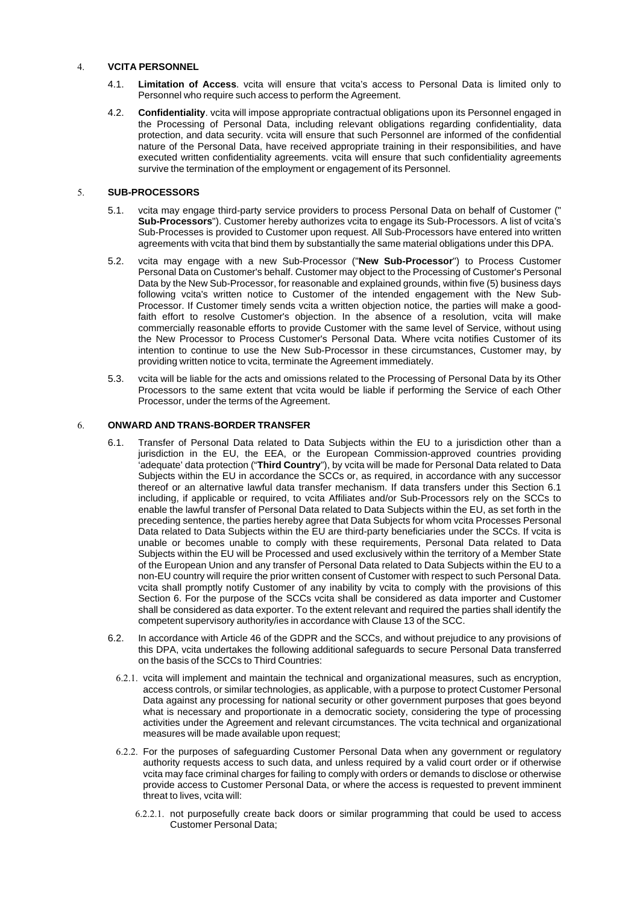# 4. **VCITA PERSONNEL**

- 4.1. **Limitation of Access**. vcita will ensure that vcita's access to Personal Data is limited only to Personnel who require such access to perform the Agreement.
- 4.2. **Confidentiality**. vcita will impose appropriate contractual obligations upon its Personnel engaged in the Processing of Personal Data, including relevant obligations regarding confidentiality, data protection, and data security. vcita will ensure that such Personnel are informed of the confidential nature of the Personal Data, have received appropriate training in their responsibilities, and have executed written confidentiality agreements. vcita will ensure that such confidentiality agreements survive the termination of the employment or engagement of its Personnel.

# 5. **SUB-PROCESSORS**

- 5.1. vcita may engage third-party service providers to process Personal Data on behalf of Customer (" **Sub-Processors**"). Customer hereby authorizes vcita to engage its Sub-Processors. A list of vcita's Sub-Processes is provided to Customer upon request. All Sub-Processors have entered into written agreements with vcita that bind them by substantially the same material obligations under this DPA.
- 5.2. vcita may engage with a new Sub-Processor ("**New Sub-Processor**") to Process Customer Personal Data on Customer's behalf. Customer may object to the Processing of Customer's Personal Data by the New Sub-Processor, for reasonable and explained grounds, within five (5) business days following vcita's written notice to Customer of the intended engagement with the New Sub-Processor. If Customer timely sends vcita a written objection notice, the parties will make a goodfaith effort to resolve Customer's objection. In the absence of a resolution, vcita will make commercially reasonable efforts to provide Customer with the same level of Service, without using the New Processor to Process Customer's Personal Data. Where vcita notifies Customer of its intention to continue to use the New Sub-Processor in these circumstances, Customer may, by providing written notice to vcita, terminate the Agreement immediately.
- 5.3. vcita will be liable for the acts and omissions related to the Processing of Personal Data by its Other Processors to the same extent that vcita would be liable if performing the Service of each Other Processor, under the terms of the Agreement.

# 6. **ONWARD AND TRANS-BORDER TRANSFER**

- 6.1. Transfer of Personal Data related to Data Subjects within the EU to a jurisdiction other than a jurisdiction in the EU, the EEA, or the European Commission-approved countries providing 'adequate' data protection ("**Third Country**"), by vcita will be made for Personal Data related to Data Subjects within the EU in accordance the SCCs or, as required, in accordance with any successor thereof or an alternative lawful data transfer mechanism. If data transfers under this Section 6.1 including, if applicable or required, to vcita Affiliates and/or Sub-Processors rely on the SCCs to enable the lawful transfer of Personal Data related to Data Subjects within the EU, as set forth in the preceding sentence, the parties hereby agree that Data Subjects for whom vcita Processes Personal Data related to Data Subjects within the EU are third-party beneficiaries under the SCCs. If vcita is unable or becomes unable to comply with these requirements, Personal Data related to Data Subjects within the EU will be Processed and used exclusively within the territory of a Member State of the European Union and any transfer of Personal Data related to Data Subjects within the EU to a non-EU country will require the prior written consent of Customer with respect to such Personal Data. vcita shall promptly notify Customer of any inability by vcita to comply with the provisions of this Section 6. For the purpose of the SCCs vcita shall be considered as data importer and Customer shall be considered as data exporter. To the extent relevant and required the parties shall identify the competent supervisory authority/ies in accordance with Clause 13 of the SCC.
- 6.2. In accordance with Article 46 of the GDPR and the SCCs, and without prejudice to any provisions of this DPA, vcita undertakes the following additional safeguards to secure Personal Data transferred on the basis of the SCCs to Third Countries:
	- 6.2.1. vcita will implement and maintain the technical and organizational measures, such as encryption, access controls, or similar technologies, as applicable, with a purpose to protect Customer Personal Data against any processing for national security or other government purposes that goes beyond what is necessary and proportionate in a democratic society, considering the type of processing activities under the Agreement and relevant circumstances. The vcita technical and organizational measures will be made available upon request;
	- 6.2.2. For the purposes of safeguarding Customer Personal Data when any government or regulatory authority requests access to such data, and unless required by a valid court order or if otherwise vcita may face criminal charges for failing to comply with orders or demands to disclose or otherwise provide access to Customer Personal Data, or where the access is requested to prevent imminent threat to lives, vcita will:
		- 6.2.2.1. not purposefully create back doors or similar programming that could be used to access Customer Personal Data;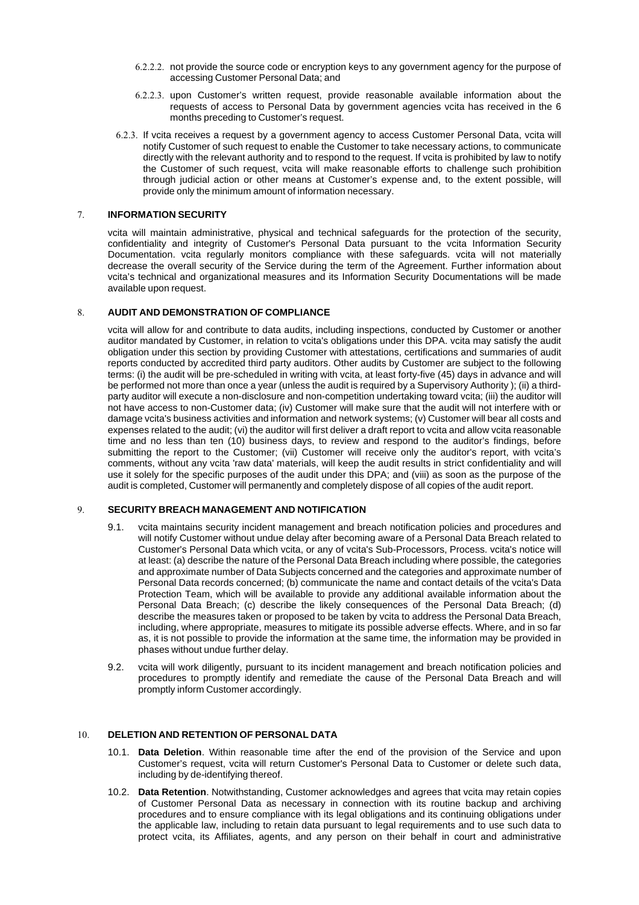- 6.2.2.2. not provide the source code or encryption keys to any government agency for the purpose of accessing Customer Personal Data; and
- 6.2.2.3. upon Customer's written request, provide reasonable available information about the requests of access to Personal Data by government agencies vcita has received in the 6 months preceding to Customer's request.
- 6.2.3. If vcita receives a request by a government agency to access Customer Personal Data, vcita will notify Customer of such request to enable the Customer to take necessary actions, to communicate directly with the relevant authority and to respond to the request. If vcita is prohibited by law to notify the Customer of such request, vcita will make reasonable efforts to challenge such prohibition through judicial action or other means at Customer's expense and, to the extent possible, will provide only the minimum amount of information necessary.

### 7. **INFORMATION SECURITY**

vcita will maintain administrative, physical and technical safeguards for the protection of the security, confidentiality and integrity of Customer's Personal Data pursuant to the vcita Information Security Documentation. vcita regularly monitors compliance with these safeguards. vcita will not materially decrease the overall security of the Service during the term of the Agreement. Further information about vcita's technical and organizational measures and its Information Security Documentations will be made available upon request.

# 8. **AUDIT AND DEMONSTRATION OF COMPLIANCE**

vcita will allow for and contribute to data audits, including inspections, conducted by Customer or another auditor mandated by Customer, in relation to vcita's obligations under this DPA. vcita may satisfy the audit obligation under this section by providing Customer with attestations, certifications and summaries of audit reports conducted by accredited third party auditors. Other audits by Customer are subject to the following terms: (i) the audit will be pre-scheduled in writing with vcita, at least forty-five (45) days in advance and will be performed not more than once a year (unless the audit is required by a Supervisory Authority ); (ii) a thirdparty auditor will execute a non-disclosure and non-competition undertaking toward vcita; (iii) the auditor will not have access to non-Customer data; (iv) Customer will make sure that the audit will not interfere with or damage vcita's business activities and information and network systems; (v) Customer will bear all costs and expenses related to the audit; (vi) the auditor will first deliver a draft report to vcita and allow vcita reasonable time and no less than ten (10) business days, to review and respond to the auditor's findings, before submitting the report to the Customer; (vii) Customer will receive only the auditor's report, with vcita's comments, without any vcita 'raw data' materials, will keep the audit results in strict confidentiality and will use it solely for the specific purposes of the audit under this DPA; and (viii) as soon as the purpose of the audit is completed, Customer will permanently and completely dispose of all copies of the audit report.

# 9. **SECURITY BREACH MANAGEMENT AND NOTIFICATION**

- 9.1. vcita maintains security incident management and breach notification policies and procedures and will notify Customer without undue delay after becoming aware of a Personal Data Breach related to Customer's Personal Data which vcita, or any of vcita's Sub-Processors, Process. vcita's notice will at least: (a) describe the nature of the Personal Data Breach including where possible, the categories and approximate number of Data Subjects concerned and the categories and approximate number of Personal Data records concerned; (b) communicate the name and contact details of the vcita's Data Protection Team, which will be available to provide any additional available information about the Personal Data Breach; (c) describe the likely consequences of the Personal Data Breach; (d) describe the measures taken or proposed to be taken by vcita to address the Personal Data Breach, including, where appropriate, measures to mitigate its possible adverse effects. Where, and in so far as, it is not possible to provide the information at the same time, the information may be provided in phases without undue further delay.
- 9.2. vcita will work diligently, pursuant to its incident management and breach notification policies and procedures to promptly identify and remediate the cause of the Personal Data Breach and will promptly inform Customer accordingly.

# 10. **DELETION AND RETENTION OF PERSONAL DATA**

- 10.1. **Data Deletion**. Within reasonable time after the end of the provision of the Service and upon Customer's request, vcita will return Customer's Personal Data to Customer or delete such data, including by de-identifying thereof.
- 10.2. **Data Retention**. Notwithstanding, Customer acknowledges and agrees that vcita may retain copies of Customer Personal Data as necessary in connection with its routine backup and archiving procedures and to ensure compliance with its legal obligations and its continuing obligations under the applicable law, including to retain data pursuant to legal requirements and to use such data to protect vcita, its Affiliates, agents, and any person on their behalf in court and administrative